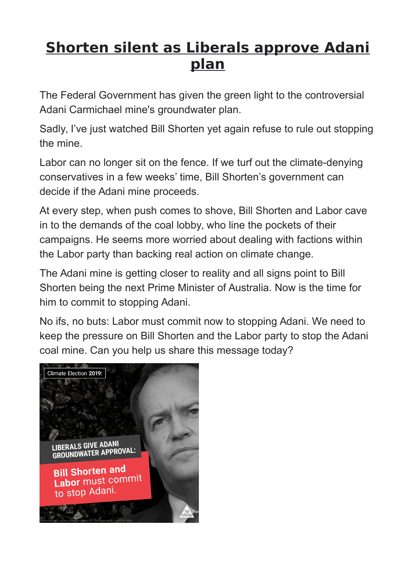# **Shorten silent as Liberals approve Adani plan**

The Federal Government has given the green light to the controversial Adani Carmichael mine's groundwater plan.

Sadly, I've just watched Bill Shorten yet again refuse to rule out stopping the mine.

Labor can no longer sit on the fence. If we turf out the climate-denying conservatives in a few weeks' time, Bill Shorten's government can decide if the Adani mine proceeds.

At every step, when push comes to shove, Bill Shorten and Labor cave in to the demands of the coal lobby, who line the pockets of their campaigns. He seems more worried about dealing with factions within the Labor party than backing real action on climate change.

The Adani mine is getting closer to reality and all signs point to Bill Shorten being the next Prime Minister of Australia. Now is the time for him to commit to stopping Adani.

No ifs, no buts: Labor must commit now to stopping Adani. We need to keep the pressure on Bill Shorten and the Labor party to stop the Adani coal mine. Can you help us share this message today?

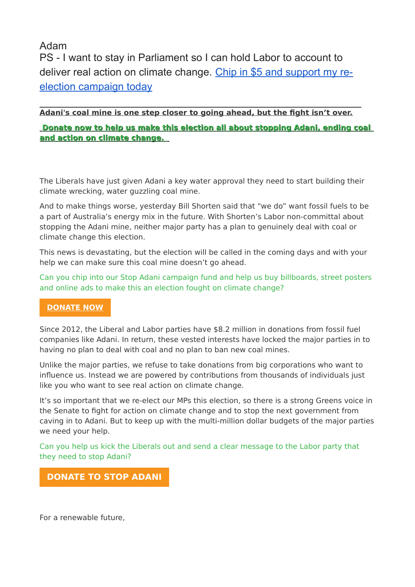## Adam

PS - I want to stay in Parliament so I can hold Labor to account to deliver real action on climate change. [Chip in \\$5 and support my re](https://www.adambandt.com/single_donation?e=815b357fd6c1c7e7d556da58394e67d6&utm_source=melbourne&utm_medium=email&utm_campaign=090419_adanialert&n=3)[election campaign today](https://www.adambandt.com/single_donation?e=815b357fd6c1c7e7d556da58394e67d6&utm_source=melbourne&utm_medium=email&utm_campaign=090419_adanialert&n=3)

#### $\overline{a}$ **Adani's coal mine is one step closer to going ahead, but the fight isn't over.**

**[Donate now to help us make this election all about stopping Adani, ending coal](http://contact-federalmps.greens.org.au/profiles/contact/modules/contrib/civicrm/extern/url.php?u=324382&qid=69737018)   [and action on climate change.](http://contact-federalmps.greens.org.au/profiles/contact/modules/contrib/civicrm/extern/url.php?u=324382&qid=69737018)**

The Liberals have just given Adani a key water approval they need to start building their climate wrecking, water guzzling coal mine.

And to make things worse, yesterday Bill Shorten said that "we do" want fossil fuels to be a part of Australia's energy mix in the future. With Shorten's Labor non-committal about stopping the Adani mine, neither major party has a plan to genuinely deal with coal or climate change this election.

This news is devastating, but the election will be called in the coming days and with your help we can make sure this coal mine doesn't go ahead.

[Can you chip into our Stop Adani campaign fund and help us buy billboards, street posters](http://contact-federalmps.greens.org.au/profiles/contact/modules/contrib/civicrm/extern/url.php?u=324382&qid=69737018)  [and online ads to make this an election fought on climate change?](http://contact-federalmps.greens.org.au/profiles/contact/modules/contrib/civicrm/extern/url.php?u=324382&qid=69737018)

### **[DONATE NOW](http://contact-federalmps.greens.org.au/profiles/contact/modules/contrib/civicrm/extern/url.php?u=324383&qid=69737018)**

Since 2012, the Liberal and Labor parties have \$8.2 million in donations from fossil fuel companies like Adani. In return, these vested interests have locked the major parties in to having no plan to deal with coal and no plan to ban new coal mines.

Unlike the major parties, we refuse to take donations from big corporations who want to influence us. Instead we are powered by contributions from thousands of individuals just like you who want to see real action on climate change.

It's so important that we re-elect our MPs this election, so there is a strong Greens voice in the Senate to fight for action on climate change and to stop the next government from caving in to Adani. But to keep up with the multi-million dollar budgets of the major parties we need your help.

[Can you help us kick the Liberals out and send a clear message to the Labor party that](http://contact-federalmps.greens.org.au/profiles/contact/modules/contrib/civicrm/extern/url.php?u=324382&qid=69737018)  [they need to stop Adani?](http://contact-federalmps.greens.org.au/profiles/contact/modules/contrib/civicrm/extern/url.php?u=324382&qid=69737018)

## **[DONATE TO STOP ADANI](http://contact-federalmps.greens.org.au/profiles/contact/modules/contrib/civicrm/extern/url.php?u=324383&qid=69737018)**

For a renewable future,